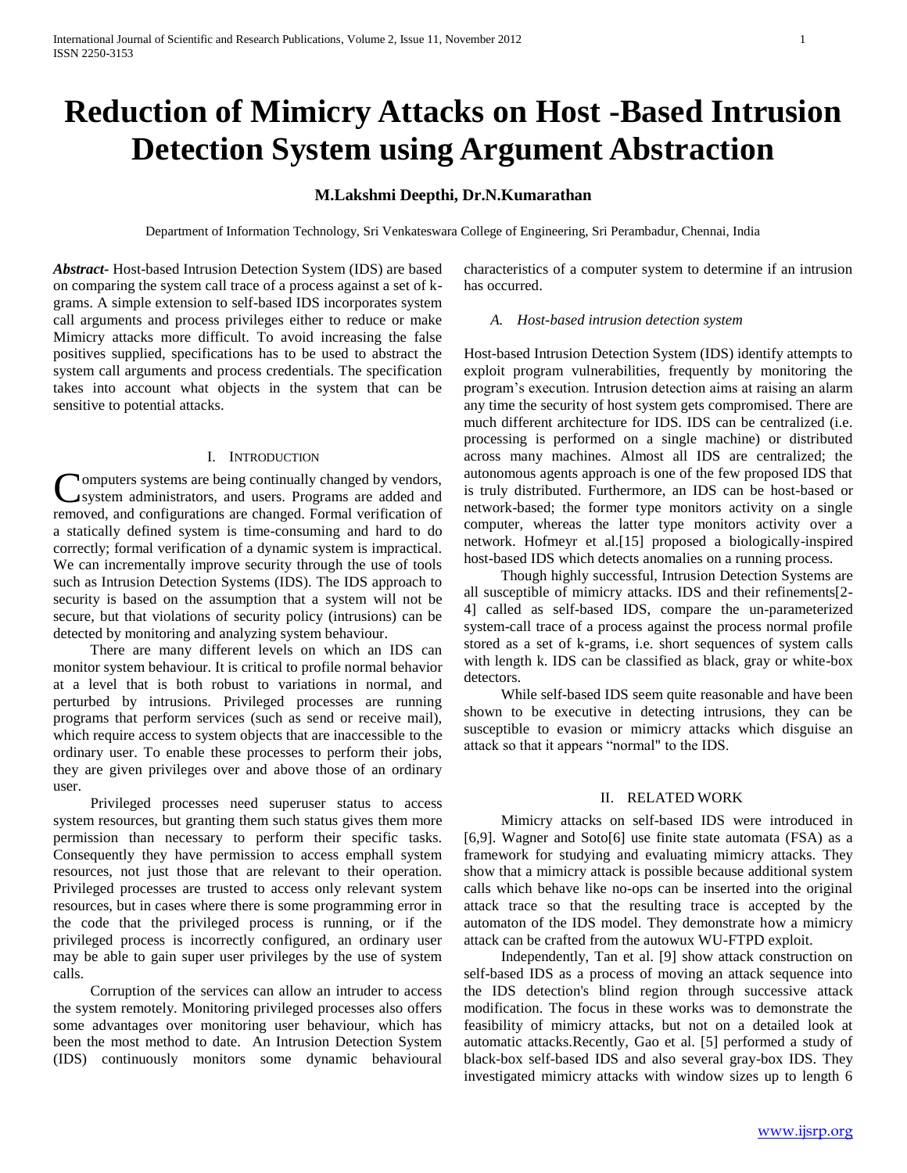# **Reduction of Mimicry Attacks on Host -Based Intrusion Detection System using Argument Abstraction**

# **M.Lakshmi Deepthi, Dr.N.Kumarathan**

Department of Information Technology, Sri Venkateswara College of Engineering, Sri Perambadur, Chennai, India

*Abstract***-** Host-based Intrusion Detection System (IDS) are based on comparing the system call trace of a process against a set of kgrams. A simple extension to self-based IDS incorporates system call arguments and process privileges either to reduce or make Mimicry attacks more difficult. To avoid increasing the false positives supplied, specifications has to be used to abstract the system call arguments and process credentials. The specification takes into account what objects in the system that can be sensitive to potential attacks.

### I. INTRODUCTION

omputers systems are being continually changed by vendors, system administrators, and users. Programs are added and **C**omputers systems are being continually changed by vendors, system administrators, and users. Programs are added and removed, and configurations are changed. Formal verification of a statically defined system is time-consuming and hard to do correctly; formal verification of a dynamic system is impractical. We can incrementally improve security through the use of tools such as Intrusion Detection Systems (IDS). The IDS approach to security is based on the assumption that a system will not be secure, but that violations of security policy (intrusions) can be detected by monitoring and analyzing system behaviour.

 There are many different levels on which an IDS can monitor system behaviour. It is critical to profile normal behavior at a level that is both robust to variations in normal, and perturbed by intrusions. Privileged processes are running programs that perform services (such as send or receive mail), which require access to system objects that are inaccessible to the ordinary user. To enable these processes to perform their jobs, they are given privileges over and above those of an ordinary user.

 Privileged processes need superuser status to access system resources, but granting them such status gives them more permission than necessary to perform their specific tasks. Consequently they have permission to access emphall system resources, not just those that are relevant to their operation. Privileged processes are trusted to access only relevant system resources, but in cases where there is some programming error in the code that the privileged process is running, or if the privileged process is incorrectly configured, an ordinary user may be able to gain super user privileges by the use of system calls.

 Corruption of the services can allow an intruder to access the system remotely. Monitoring privileged processes also offers some advantages over monitoring user behaviour, which has been the most method to date. An Intrusion Detection System (IDS) continuously monitors some dynamic behavioural

characteristics of a computer system to determine if an intrusion has occurred.

### *A. Host-based intrusion detection system*

Host-based Intrusion Detection System (IDS) identify attempts to exploit program vulnerabilities, frequently by monitoring the program's execution. Intrusion detection aims at raising an alarm any time the security of host system gets compromised. There are much different architecture for IDS. IDS can be centralized (i.e. processing is performed on a single machine) or distributed across many machines. Almost all IDS are centralized; the autonomous agents approach is one of the few proposed IDS that is truly distributed. Furthermore, an IDS can be host-based or network-based; the former type monitors activity on a single computer, whereas the latter type monitors activity over a network. Hofmeyr et al.[15] proposed a biologically-inspired host-based IDS which detects anomalies on a running process.

 Though highly successful, Intrusion Detection Systems are all susceptible of mimicry attacks. IDS and their refinements[2- 4] called as self-based IDS, compare the un-parameterized system-call trace of a process against the process normal profile stored as a set of k-grams, i.e. short sequences of system calls with length k. IDS can be classified as black, gray or white-box detectors.

 While self-based IDS seem quite reasonable and have been shown to be executive in detecting intrusions, they can be susceptible to evasion or mimicry attacks which disguise an attack so that it appears "normal" to the IDS.

# II. RELATED WORK

 Mimicry attacks on self-based IDS were introduced in [6,9]. Wagner and Soto[6] use finite state automata (FSA) as a framework for studying and evaluating mimicry attacks. They show that a mimicry attack is possible because additional system calls which behave like no-ops can be inserted into the original attack trace so that the resulting trace is accepted by the automaton of the IDS model. They demonstrate how a mimicry attack can be crafted from the autowux WU-FTPD exploit.

 Independently, Tan et al. [9] show attack construction on self-based IDS as a process of moving an attack sequence into the IDS detection's blind region through successive attack modification. The focus in these works was to demonstrate the feasibility of mimicry attacks, but not on a detailed look at automatic attacks.Recently, Gao et al. [5] performed a study of black-box self-based IDS and also several gray-box IDS. They investigated mimicry attacks with window sizes up to length 6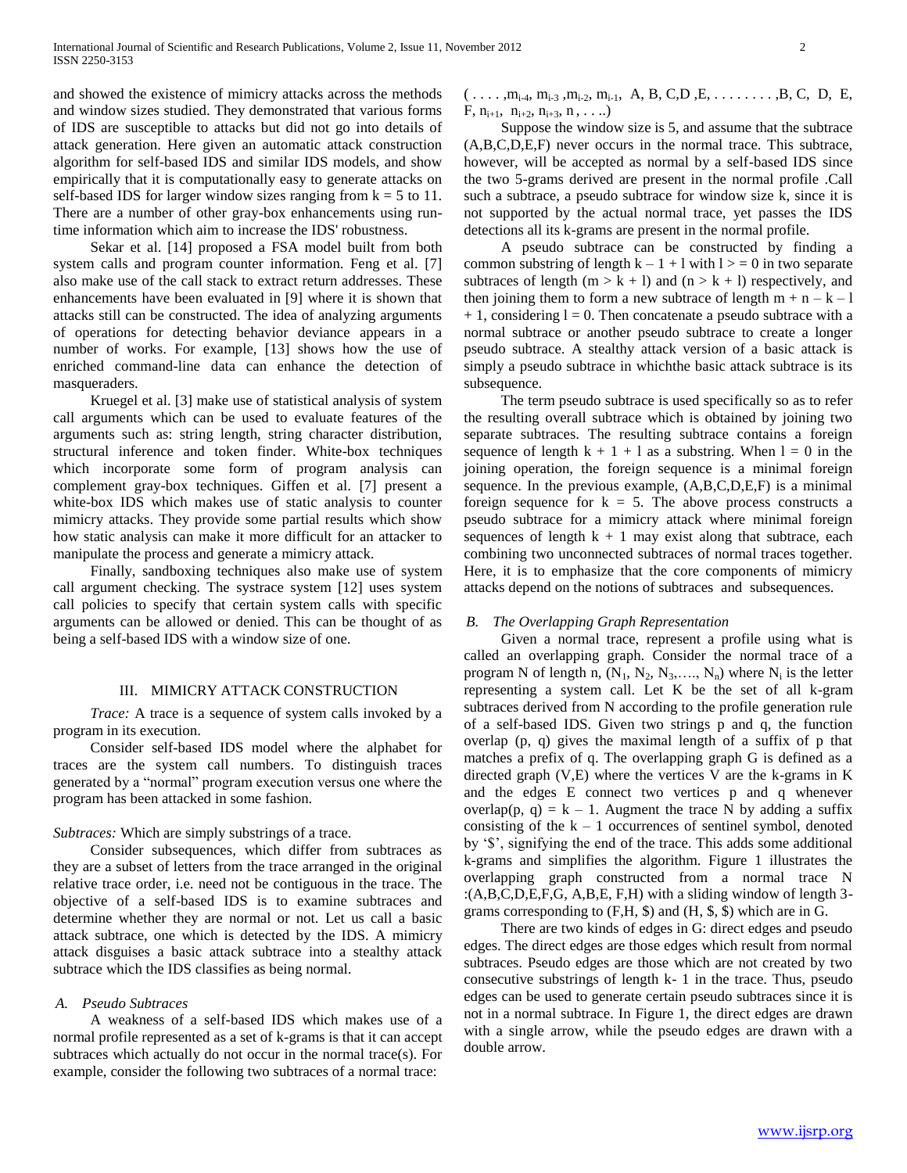and showed the existence of mimicry attacks across the methods and window sizes studied. They demonstrated that various forms of IDS are susceptible to attacks but did not go into details of attack generation. Here given an automatic attack construction algorithm for self-based IDS and similar IDS models, and show empirically that it is computationally easy to generate attacks on self-based IDS for larger window sizes ranging from  $k = 5$  to 11. There are a number of other gray-box enhancements using runtime information which aim to increase the IDS' robustness.

 Sekar et al. [14] proposed a FSA model built from both system calls and program counter information. Feng et al. [7] also make use of the call stack to extract return addresses. These enhancements have been evaluated in [9] where it is shown that attacks still can be constructed. The idea of analyzing arguments of operations for detecting behavior deviance appears in a number of works. For example, [13] shows how the use of enriched command-line data can enhance the detection of masqueraders.

 Kruegel et al. [3] make use of statistical analysis of system call arguments which can be used to evaluate features of the arguments such as: string length, string character distribution, structural inference and token finder. White-box techniques which incorporate some form of program analysis can complement gray-box techniques. Giffen et al. [7] present a white-box IDS which makes use of static analysis to counter mimicry attacks. They provide some partial results which show how static analysis can make it more difficult for an attacker to manipulate the process and generate a mimicry attack.

 Finally, sandboxing techniques also make use of system call argument checking. The systrace system [12] uses system call policies to specify that certain system calls with specific arguments can be allowed or denied. This can be thought of as being a self-based IDS with a window size of one.

#### III. MIMICRY ATTACK CONSTRUCTION

 *Trace:* A trace is a sequence of system calls invoked by a program in its execution.

 Consider self-based IDS model where the alphabet for traces are the system call numbers. To distinguish traces generated by a "normal" program execution versus one where the program has been attacked in some fashion.

#### *Subtraces:* Which are simply substrings of a trace.

 Consider subsequences, which differ from subtraces as they are a subset of letters from the trace arranged in the original relative trace order, i.e. need not be contiguous in the trace. The objective of a self-based IDS is to examine subtraces and determine whether they are normal or not. Let us call a basic attack subtrace, one which is detected by the IDS. A mimicry attack disguises a basic attack subtrace into a stealthy attack subtrace which the IDS classifies as being normal.

# *A. Pseudo Subtraces*

 A weakness of a self-based IDS which makes use of a normal profile represented as a set of k-grams is that it can accept subtraces which actually do not occur in the normal trace(s). For example, consider the following two subtraces of a normal trace:

 $( \ldots, m_{i-4}, m_{i-3}, m_{i-2}, m_{i-1}, A, B, C, D, E, \ldots, S, C, D, E,$ F,  $n_{i+1}$ ,  $n_{i+2}$ ,  $n_{i+3}$ ,  $n$ , ....)

 Suppose the window size is 5, and assume that the subtrace (A,B,C,D,E,F) never occurs in the normal trace. This subtrace, however, will be accepted as normal by a self-based IDS since the two 5-grams derived are present in the normal profile .Call such a subtrace, a pseudo subtrace for window size k, since it is not supported by the actual normal trace, yet passes the IDS detections all its k-grams are present in the normal profile.

 A pseudo subtrace can be constructed by finding a common substring of length  $k - 1 + 1$  with  $l > 0$  in two separate subtraces of length  $(m > k + 1)$  and  $(n > k + 1)$  respectively, and then joining them to form a new subtrace of length  $m + n - k - 1$  $+ 1$ , considering  $l = 0$ . Then concatenate a pseudo subtrace with a normal subtrace or another pseudo subtrace to create a longer pseudo subtrace. A stealthy attack version of a basic attack is simply a pseudo subtrace in whichthe basic attack subtrace is its subsequence.

 The term pseudo subtrace is used specifically so as to refer the resulting overall subtrace which is obtained by joining two separate subtraces. The resulting subtrace contains a foreign sequence of length  $k + 1 + 1$  as a substring. When  $l = 0$  in the joining operation, the foreign sequence is a minimal foreign sequence. In the previous example, (A,B,C,D,E,F) is a minimal foreign sequence for  $k = 5$ . The above process constructs a pseudo subtrace for a mimicry attack where minimal foreign sequences of length  $k + 1$  may exist along that subtrace, each combining two unconnected subtraces of normal traces together. Here, it is to emphasize that the core components of mimicry attacks depend on the notions of subtraces and subsequences.

#### *B. The Overlapping Graph Representation*

 Given a normal trace, represent a profile using what is called an overlapping graph. Consider the normal trace of a program N of length n,  $(N_1, N_2, N_3, ..., N_n)$  where  $N_i$  is the letter representing a system call. Let K be the set of all k-gram subtraces derived from N according to the profile generation rule of a self-based IDS. Given two strings p and q, the function overlap (p, q) gives the maximal length of a suffix of p that matches a prefix of q. The overlapping graph G is defined as a directed graph (V,E) where the vertices V are the k-grams in K and the edges E connect two vertices p and q whenever overlap(p, q) =  $k - 1$ . Augment the trace N by adding a suffix consisting of the  $k - 1$  occurrences of sentinel symbol, denoted by '\$', signifying the end of the trace. This adds some additional k-grams and simplifies the algorithm. Figure 1 illustrates the overlapping graph constructed from a normal trace N :(A,B,C,D,E,F,G, A,B,E, F,H) with a sliding window of length 3 grams corresponding to (F,H, \$) and (H, \$, \$) which are in G.

 There are two kinds of edges in G: direct edges and pseudo edges. The direct edges are those edges which result from normal subtraces. Pseudo edges are those which are not created by two consecutive substrings of length k- 1 in the trace. Thus, pseudo edges can be used to generate certain pseudo subtraces since it is not in a normal subtrace. In Figure 1, the direct edges are drawn with a single arrow, while the pseudo edges are drawn with a double arrow.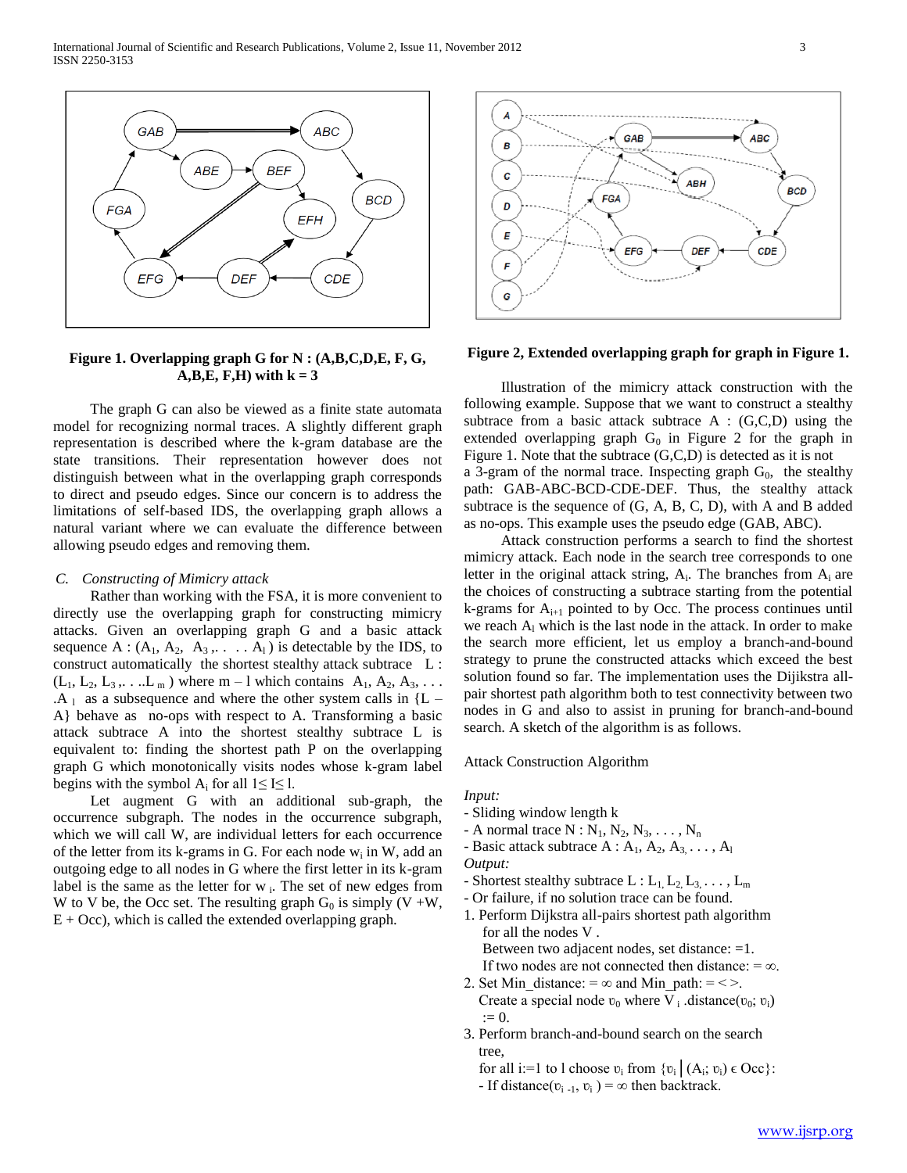

**Figure 1. Overlapping graph G for N : (A,B,C,D,E, F, G,**   $A,B,E, F,H)$  with  $k = 3$ 

 The graph G can also be viewed as a finite state automata model for recognizing normal traces. A slightly different graph representation is described where the k-gram database are the state transitions. Their representation however does not distinguish between what in the overlapping graph corresponds to direct and pseudo edges. Since our concern is to address the limitations of self-based IDS, the overlapping graph allows a natural variant where we can evaluate the difference between allowing pseudo edges and removing them.

#### *C. Constructing of Mimicry attack*

 Rather than working with the FSA, it is more convenient to directly use the overlapping graph for constructing mimicry attacks. Given an overlapping graph G and a basic attack sequence A :  $(A_1, A_2, A_3, \ldots, A_l)$  is detectable by the IDS, to construct automatically the shortest stealthy attack subtrace L :  $(L_1, L_2, L_3, \ldots L_m)$  where m – l which contains  $A_1, A_2, A_3, \ldots$  $AA_1$  as a subsequence and where the other system calls in  ${L -$ A} behave as no-ops with respect to A. Transforming a basic attack subtrace A into the shortest stealthy subtrace L is equivalent to: finding the shortest path P on the overlapping graph G which monotonically visits nodes whose k-gram label begins with the symbol A<sub>i</sub> for all  $1 \leq I \leq 1$ .

 Let augment G with an additional sub-graph, the occurrence subgraph. The nodes in the occurrence subgraph, which we will call W, are individual letters for each occurrence of the letter from its k-grams in G. For each node  $w_i$  in W, add an outgoing edge to all nodes in G where the first letter in its k-gram label is the same as the letter for  $w_i$ . The set of new edges from W to V be, the Occ set. The resulting graph  $G_0$  is simply (V +W,  $E + Occ$ ), which is called the extended overlapping graph.



**Figure 2, Extended overlapping graph for graph in Figure 1.**

 Illustration of the mimicry attack construction with the following example. Suppose that we want to construct a stealthy subtrace from a basic attack subtrace  $A : (G,C,D)$  using the extended overlapping graph  $G_0$  in Figure 2 for the graph in Figure 1. Note that the subtrace (G,C,D) is detected as it is not a 3-gram of the normal trace. Inspecting graph  $G_0$ , the stealthy path: GAB-ABC-BCD-CDE-DEF. Thus, the stealthy attack subtrace is the sequence of (G, A, B, C, D), with A and B added as no-ops. This example uses the pseudo edge (GAB, ABC).

 Attack construction performs a search to find the shortest mimicry attack. Each node in the search tree corresponds to one letter in the original attack string,  $A_i$ . The branches from  $A_i$  are the choices of constructing a subtrace starting from the potential k-grams for  $A_{i+1}$  pointed to by Occ. The process continues until we reach  $A<sub>l</sub>$  which is the last node in the attack. In order to make the search more efficient, let us employ a branch-and-bound strategy to prune the constructed attacks which exceed the best solution found so far. The implementation uses the Dijikstra allpair shortest path algorithm both to test connectivity between two nodes in G and also to assist in pruning for branch-and-bound search. A sketch of the algorithm is as follows.

Attack Construction Algorithm

#### *Input:*

- Sliding window length k
- A normal trace  $N : N_1, N_2, N_3, \ldots, N_n$
- Basic attack subtrace  $A : A_1, A_2, A_3, \ldots, A_l$ *Output:*
- 
- Shortest stealthy subtrace  $L: L_1, L_2, L_3, \ldots, L_m$
- Or failure, if no solution trace can be found.
- 1. Perform Dijkstra all-pairs shortest path algorithm for all the nodes V . Between two adjacent nodes, set distance: =1.
- If two nodes are not connected then distance:  $=\infty$ . 2. Set Min distance: =  $\infty$  and Min path: = < >.
- Create a special node  $v_0$  where V<sub>i</sub> distance( $v_0$ ;  $v_i$ )  $:= 0.$
- 3. Perform branch-and-bound search on the search tree,
- for all i:=1 to l choose  $v_i$  from  $\{v_i \mid (A_i; v_i) \in \text{Occ}\}$ :
	- If distance( $v_{i-1}$ ,  $v_i$ ) =  $\infty$  then backtrack.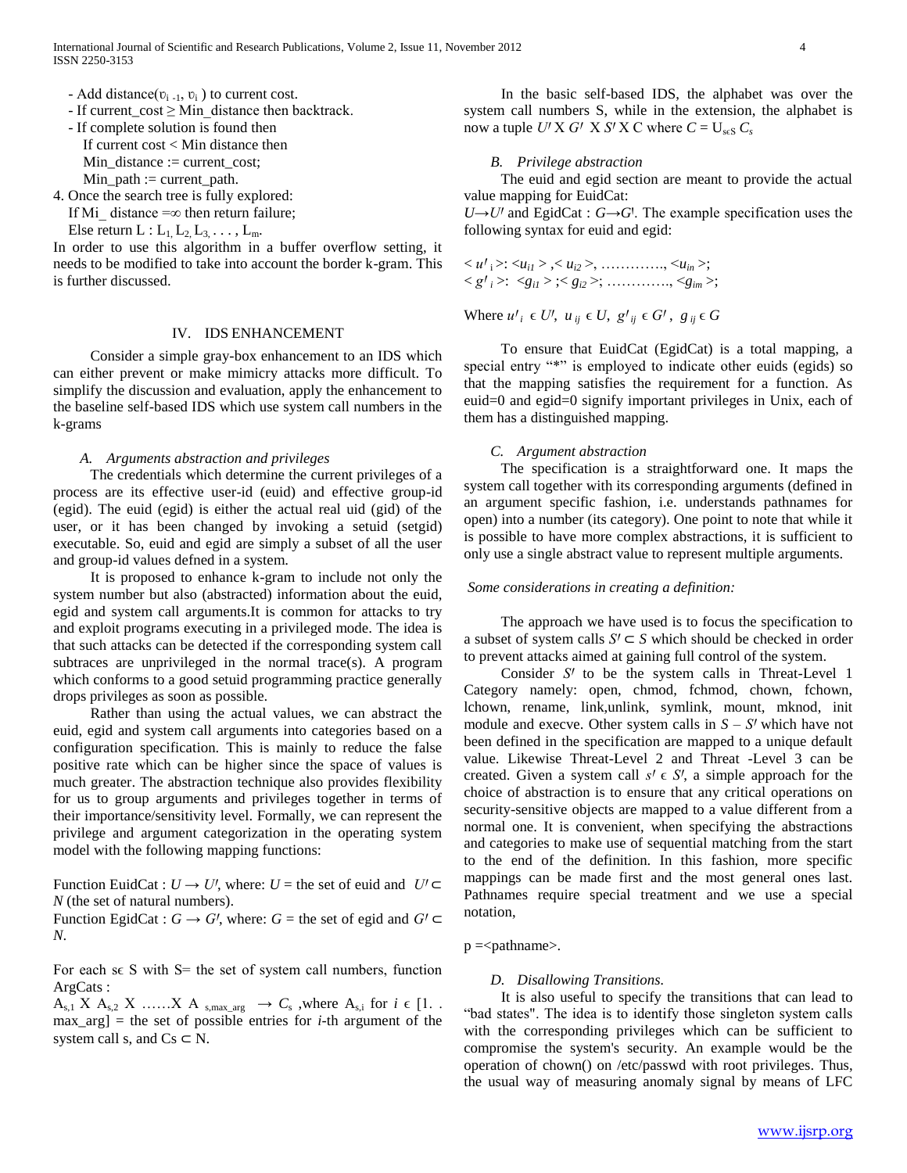- Add distance( $v_{i-1}$ ,  $v_i$ ) to current cost.
- If current\_cost  $\geq$  Min distance then backtrack.
- If complete solution is found then

 If current cost < Min distance then Min\_distance := current\_cost;

 $Min\_path := current\_path$ .

4. Once the search tree is fully explored:

If Mi distance  $=\infty$  then return failure;

Else return  $L: L_1, L_2, L_3, \ldots, L_m$ .

In order to use this algorithm in a buffer overflow setting, it needs to be modified to take into account the border k-gram. This is further discussed.

# IV. IDS ENHANCEMENT

 Consider a simple gray-box enhancement to an IDS which can either prevent or make mimicry attacks more difficult. To simplify the discussion and evaluation, apply the enhancement to the baseline self-based IDS which use system call numbers in the k-grams

#### *A. Arguments abstraction and privileges*

 The credentials which determine the current privileges of a process are its effective user-id (euid) and effective group-id (egid). The euid (egid) is either the actual real uid (gid) of the user, or it has been changed by invoking a setuid (setgid) executable. So, euid and egid are simply a subset of all the user and group-id values defned in a system.

 It is proposed to enhance k-gram to include not only the system number but also (abstracted) information about the euid, egid and system call arguments.It is common for attacks to try and exploit programs executing in a privileged mode. The idea is that such attacks can be detected if the corresponding system call subtraces are unprivileged in the normal trace(s). A program which conforms to a good setuid programming practice generally drops privileges as soon as possible.

 Rather than using the actual values, we can abstract the euid, egid and system call arguments into categories based on a configuration specification. This is mainly to reduce the false positive rate which can be higher since the space of values is much greater. The abstraction technique also provides flexibility for us to group arguments and privileges together in terms of their importance/sensitivity level. Formally, we can represent the privilege and argument categorization in the operating system model with the following mapping functions:

Function EuidCat :  $U \rightarrow U'$ , where:  $U =$  the set of euid and  $U' \subseteq$ *N* (the set of natural numbers).

Function EgidCat :  $G \to G'$ , where:  $G =$  the set of egid and  $G' \subset$ *N*.

For each s $\epsilon$  S with S= the set of system call numbers, function ArgCats :

 $A_{s,1}$  X  $A_{s,2}$  X ……X A  $_{s,max\_{arg}} \rightarrow C_s$ , where  $A_{s,i}$  for  $i \in [1, 1]$ .  $max_{\text{arg}}$  = the set of possible entries for *i*-th argument of the system call s, and  $Cs \subset N$ .

 In the basic self-based IDS, the alphabet was over the system call numbers S, while in the extension, the alphabet is now a tuple  $U^{\prime}$  X  $G^{\prime}$  X  $S^{\prime}$  X C where  $C = U_{\text{scS}} C_s$ 

#### *B. Privilege abstraction*

 The euid and egid section are meant to provide the actual value mapping for EuidCat:

 $U \rightarrow U'$  and EgidCat :  $G \rightarrow G'$ . The example specification uses the following syntax for euid and egid:

 $\langle u'_{i}\rangle$ :  $\langle u_{i1}\rangle$ ,  $\langle u_{i2}\rangle$ , …………,  $\langle u_{in}\rangle$ ;  $\langle g'_{i} \rangle$ :  $\langle g_{i1} \rangle$ ;  $\langle g_{i2} \rangle$ ; …………,  $\langle g_{im} \rangle$ ;

Where  $u'_{i} \in U'$ ,  $u_{ij} \in U$ ,  $g'_{ij} \in G'$ ,  $g_{ij} \in G$ 

 To ensure that EuidCat (EgidCat) is a total mapping, a special entry "\*" is employed to indicate other euids (egids) so that the mapping satisfies the requirement for a function. As euid=0 and egid=0 signify important privileges in Unix, each of them has a distinguished mapping.

#### *C. Argument abstraction*

 The specification is a straightforward one. It maps the system call together with its corresponding arguments (defined in an argument specific fashion, i.e. understands pathnames for open) into a number (its category). One point to note that while it is possible to have more complex abstractions, it is sufficient to only use a single abstract value to represent multiple arguments.

#### *Some considerations in creating a definition:*

 The approach we have used is to focus the specification to a subset of system calls  $S' \subset S$  which should be checked in order to prevent attacks aimed at gaining full control of the system.

Consider *S'* to be the system calls in Threat-Level 1 Category namely: open, chmod, fchmod, chown, fchown, lchown, rename, link,unlink, symlink, mount, mknod, init module and execve. Other system calls in  $S - S'$  which have not been defined in the specification are mapped to a unique default value. Likewise Threat-Level 2 and Threat -Level 3 can be created. Given a system call  $s' \in S'$ , a simple approach for the choice of abstraction is to ensure that any critical operations on security-sensitive objects are mapped to a value different from a normal one. It is convenient, when specifying the abstractions and categories to make use of sequential matching from the start to the end of the definition. In this fashion, more specific mappings can be made first and the most general ones last. Pathnames require special treatment and we use a special notation,

 $p =$  =  $\epsilon$  pathname  $\epsilon$ .

#### *D. Disallowing Transitions.*

 It is also useful to specify the transitions that can lead to "bad states". The idea is to identify those singleton system calls with the corresponding privileges which can be sufficient to compromise the system's security. An example would be the operation of chown() on /etc/passwd with root privileges. Thus, the usual way of measuring anomaly signal by means of LFC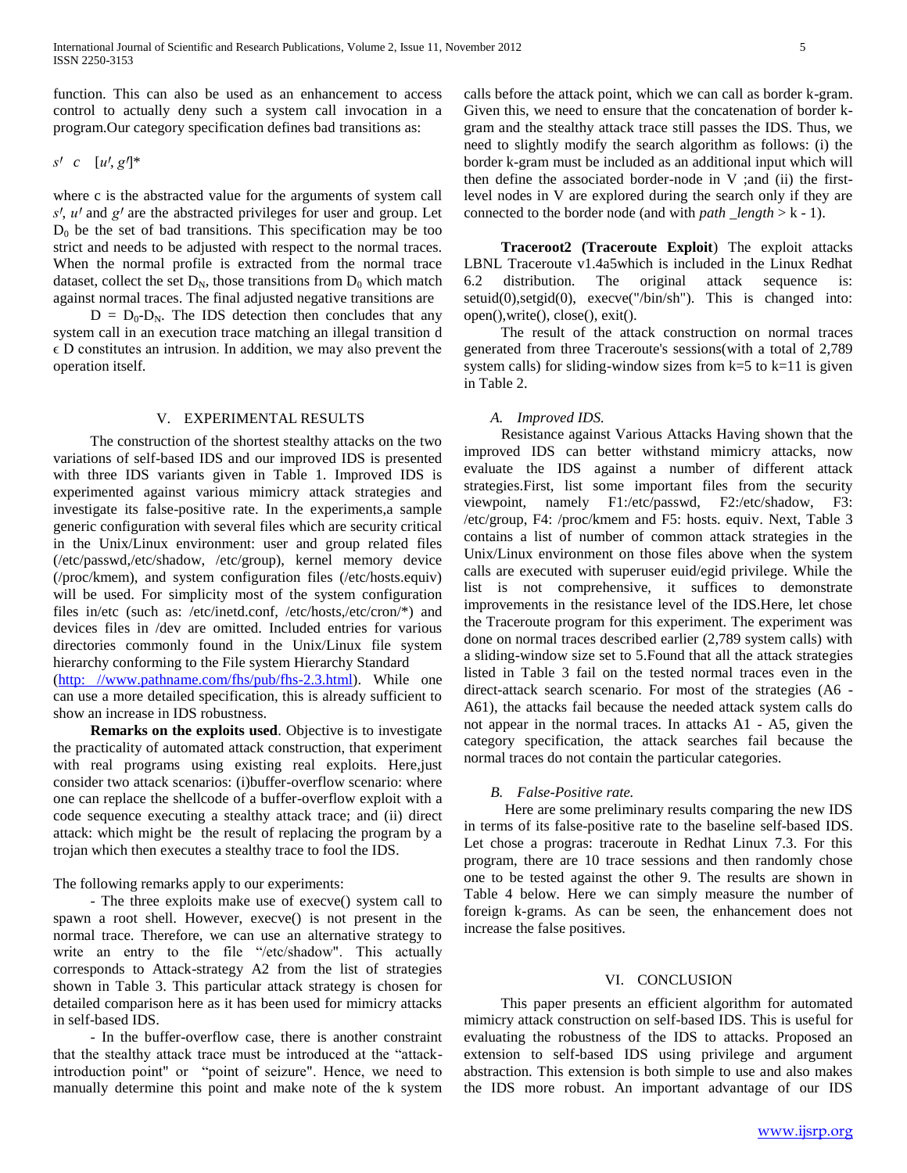function. This can also be used as an enhancement to access control to actually deny such a system call invocation in a program.Our category specification defines bad transitions as:

# *s' c*  $[u', g']^*$

where c is the abstracted value for the arguments of system call *sꞋ*, *uꞋ* and *gꞋ* are the abstracted privileges for user and group. Let  $D_0$  be the set of bad transitions. This specification may be too strict and needs to be adjusted with respect to the normal traces. When the normal profile is extracted from the normal trace dataset, collect the set  $D_N$ , those transitions from  $D_0$  which match against normal traces. The final adjusted negative transitions are

 $D = D_0 - D_N$ . The IDS detection then concludes that any system call in an execution trace matching an illegal transition d  $\epsilon$  D constitutes an intrusion. In addition, we may also prevent the operation itself.

#### V. EXPERIMENTAL RESULTS

 The construction of the shortest stealthy attacks on the two variations of self-based IDS and our improved IDS is presented with three IDS variants given in Table 1. Improved IDS is experimented against various mimicry attack strategies and investigate its false-positive rate. In the experiments,a sample generic configuration with several files which are security critical in the Unix/Linux environment: user and group related files (/etc/passwd,/etc/shadow, /etc/group), kernel memory device (/proc/kmem), and system configuration files (/etc/hosts.equiv) will be used. For simplicity most of the system configuration files in/etc (such as: /etc/inetd.conf, /etc/hosts,/etc/cron/\*) and devices files in /dev are omitted. Included entries for various directories commonly found in the Unix/Linux file system hierarchy conforming to the File system Hierarchy Standard [\(http: //www.pathname.com/fhs/pub/fhs-2.3.html\)](http://www.pathname.com/fhs/pub/fhs-2.3.html). While one can use a more detailed specification, this is already sufficient to show an increase in IDS robustness.

 **Remarks on the exploits used**. Objective is to investigate the practicality of automated attack construction, that experiment with real programs using existing real exploits. Here,just consider two attack scenarios: (i)buffer-overflow scenario: where one can replace the shellcode of a buffer-overflow exploit with a code sequence executing a stealthy attack trace; and (ii) direct attack: which might be the result of replacing the program by a trojan which then executes a stealthy trace to fool the IDS.

The following remarks apply to our experiments:

 - The three exploits make use of execve() system call to spawn a root shell. However, execve() is not present in the normal trace. Therefore, we can use an alternative strategy to write an entry to the file "/etc/shadow". This actually corresponds to Attack-strategy A2 from the list of strategies shown in Table 3. This particular attack strategy is chosen for detailed comparison here as it has been used for mimicry attacks in self-based IDS.

 - In the buffer-overflow case, there is another constraint that the stealthy attack trace must be introduced at the "attackintroduction point" or "point of seizure". Hence, we need to manually determine this point and make note of the k system

calls before the attack point, which we can call as border k-gram. Given this, we need to ensure that the concatenation of border kgram and the stealthy attack trace still passes the IDS. Thus, we need to slightly modify the search algorithm as follows: (i) the border k-gram must be included as an additional input which will then define the associated border-node in V ;and (ii) the firstlevel nodes in V are explored during the search only if they are connected to the border node (and with *path \_length* > k - 1).

 **Traceroot2 (Traceroute Exploit**) The exploit attacks LBNL Traceroute v1.4a5which is included in the Linux Redhat 6.2 distribution. The original attack sequence is: setuid(0), setgid(0), execve("/bin/sh"). This is changed into: open(),write(), close(), exit().

 The result of the attack construction on normal traces generated from three Traceroute's sessions(with a total of 2,789 system calls) for sliding-window sizes from  $k=5$  to  $k=11$  is given in Table 2.

## *A. Improved IDS.*

 Resistance against Various Attacks Having shown that the improved IDS can better withstand mimicry attacks, now evaluate the IDS against a number of different attack strategies.First, list some important files from the security viewpoint, namely F1:/etc/passwd, F2:/etc/shadow, F3: /etc/group, F4: /proc/kmem and F5: hosts. equiv. Next, Table 3 contains a list of number of common attack strategies in the Unix/Linux environment on those files above when the system calls are executed with superuser euid/egid privilege. While the list is not comprehensive, it suffices to demonstrate improvements in the resistance level of the IDS.Here, let chose the Traceroute program for this experiment. The experiment was done on normal traces described earlier (2,789 system calls) with a sliding-window size set to 5.Found that all the attack strategies listed in Table 3 fail on the tested normal traces even in the direct-attack search scenario. For most of the strategies (A6 - A61), the attacks fail because the needed attack system calls do not appear in the normal traces. In attacks A1 - A5, given the category specification, the attack searches fail because the normal traces do not contain the particular categories.

# *B. False-Positive rate.*

 Here are some preliminary results comparing the new IDS in terms of its false-positive rate to the baseline self-based IDS. Let chose a progras: traceroute in Redhat Linux 7.3. For this program, there are 10 trace sessions and then randomly chose one to be tested against the other 9. The results are shown in Table 4 below. Here we can simply measure the number of foreign k-grams. As can be seen, the enhancement does not increase the false positives.

#### VI. CONCLUSION

 This paper presents an efficient algorithm for automated mimicry attack construction on self-based IDS. This is useful for evaluating the robustness of the IDS to attacks. Proposed an extension to self-based IDS using privilege and argument abstraction. This extension is both simple to use and also makes the IDS more robust. An important advantage of our IDS